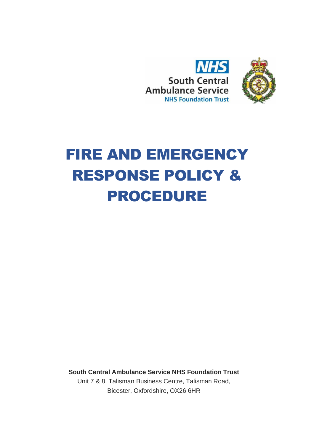



# FIRE AND EMERGENCY RESPONSE POLICY & PROCEDURE

**South Central Ambulance Service NHS Foundation Trust**

Unit 7 & 8, Talisman Business Centre, Talisman Road, Bicester, Oxfordshire, OX26 6HR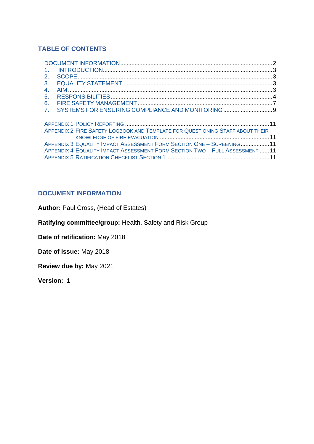# **TABLE OF CONTENTS**

| $\mathbf{1}$ .                                                                |  |
|-------------------------------------------------------------------------------|--|
| 2.                                                                            |  |
| 3.                                                                            |  |
| 4 <sub>1</sub>                                                                |  |
| 5.                                                                            |  |
| 6.                                                                            |  |
| SYSTEMS FOR ENSURING COMPLIANCE AND MONITORING  9<br>7.                       |  |
|                                                                               |  |
|                                                                               |  |
| APPENDIX 2 FIRE SAFETY LOGBOOK AND TEMPLATE FOR QUESTIONING STAFF ABOUT THEIR |  |
|                                                                               |  |
| APPENDIX 3 EQUALITY IMPACT ASSESSMENT FORM SECTION ONE - SCREENING11          |  |
| APPENDIX 4 EQUALITY IMPACT ASSESSMENT FORM SECTION TWO - FULL ASSESSMENT 11   |  |
|                                                                               |  |

## <span id="page-1-0"></span>**DOCUMENT INFORMATION**

Author: Paul Cross, (Head of Estates)

**Ratifying committee/group:** Health, Safety and Risk Group

**Date of ratification:** May 2018

**Date of Issue:** May 2018

**Review due by:** May 2021

**Version: 1**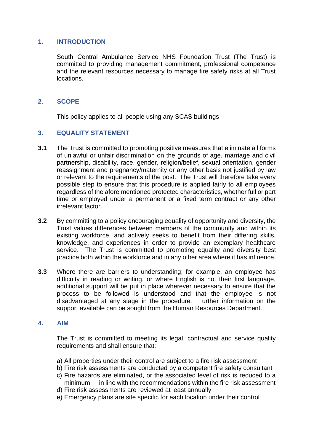## <span id="page-2-0"></span>**1. INTRODUCTION**

South Central Ambulance Service NHS Foundation Trust (The Trust) is committed to providing management commitment, professional competence and the relevant resources necessary to manage fire safety risks at all Trust locations.

## <span id="page-2-1"></span>**2. SCOPE**

This policy applies to all people using any SCAS buildings

## <span id="page-2-2"></span>**3. EQUALITY STATEMENT**

- **3.1** The Trust is committed to promoting positive measures that eliminate all forms of unlawful or unfair discrimination on the grounds of age, marriage and civil partnership, disability, race, gender, religion/belief, sexual orientation, gender reassignment and pregnancy/maternity or any other basis not justified by law or relevant to the requirements of the post. The Trust will therefore take every possible step to ensure that this procedure is applied fairly to all employees regardless of the afore mentioned protected characteristics, whether full or part time or employed under a permanent or a fixed term contract or any other irrelevant factor.
- **3.2** By committing to a policy encouraging equality of opportunity and diversity, the Trust values differences between members of the community and within its existing workforce, and actively seeks to benefit from their differing skills, knowledge, and experiences in order to provide an exemplary healthcare service. The Trust is committed to promoting equality and diversity best practice both within the workforce and in any other area where it has influence.
- **3.3** Where there are barriers to understanding; for example, an employee has difficulty in reading or writing, or where English is not their first language, additional support will be put in place wherever necessary to ensure that the process to be followed is understood and that the employee is not disadvantaged at any stage in the procedure. Further information on the support available can be sought from the Human Resources Department.

#### <span id="page-2-3"></span>**4. AIM**

The Trust is committed to meeting its legal, contractual and service quality requirements and shall ensure that:

- a) All properties under their control are subject to a fire risk assessment
- b) Fire risk assessments are conducted by a competent fire safety consultant
- c) Fire hazards are eliminated, or the associated level of risk is reduced to a minimum in line with the recommendations within the fire risk assessment
- d) Fire risk assessments are reviewed at least annually
- e) Emergency plans are site specific for each location under their control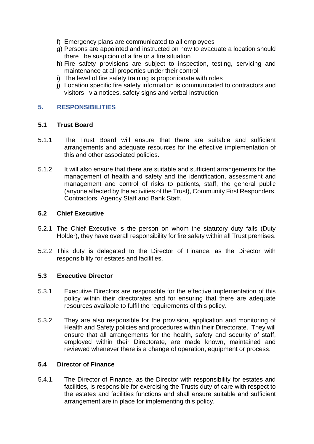- f) Emergency plans are communicated to all employees
- g) Persons are appointed and instructed on how to evacuate a location should there be suspicion of a fire or a fire situation
- h) Fire safety provisions are subject to inspection, testing, servicing and maintenance at all properties under their control
- i) The level of fire safety training is proportionate with roles
- j) Location specific fire safety information is communicated to contractors and visitors via notices, safety signs and verbal instruction

## <span id="page-3-0"></span>**5. RESPONSIBILITIES**

#### **5.1 Trust Board**

- 5.1.1 The Trust Board will ensure that there are suitable and sufficient arrangements and adequate resources for the effective implementation of this and other associated policies.
- 5.1.2 It will also ensure that there are suitable and sufficient arrangements for the management of health and safety and the identification, assessment and management and control of risks to patients, staff, the general public (anyone affected by the activities of the Trust), Community First Responders, Contractors, Agency Staff and Bank Staff.

#### **5.2 Chief Executive**

- 5.2.1 The Chief Executive is the person on whom the statutory duty falls (Duty Holder), they have overall responsibility for fire safety within all Trust premises.
- 5.2.2 This duty is delegated to the Director of Finance, as the Director with responsibility for estates and facilities.

#### **5.3 Executive Director**

- 5.3.1 Executive Directors are responsible for the effective implementation of this policy within their directorates and for ensuring that there are adequate resources available to fulfil the requirements of this policy.
- 5.3.2 They are also responsible for the provision, application and monitoring of Health and Safety policies and procedures within their Directorate. They will ensure that all arrangements for the health, safety and security of staff, employed within their Directorate, are made known, maintained and reviewed whenever there is a change of operation, equipment or process.

#### **5.4 Director of Finance**

5.4.1. The Director of Finance, as the Director with responsibility for estates and facilities, is responsible for exercising the Trusts duty of care with respect to the estates and facilities functions and shall ensure suitable and sufficient arrangement are in place for implementing this policy.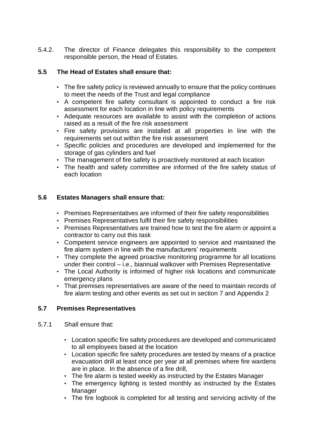5.4.2. The director of Finance delegates this responsibility to the competent responsible person, the Head of Estates.

# **5.5 The Head of Estates shall ensure that:**

- The fire safety policy is reviewed annually to ensure that the policy continues to meet the needs of the Trust and legal compliance
- A competent fire safety consultant is appointed to conduct a fire risk assessment for each location in line with policy requirements
- Adequate resources are available to assist with the completion of actions raised as a result of the fire risk assessment
- Fire safety provisions are installed at all properties in line with the requirements set out within the fire risk assessment
- Specific policies and procedures are developed and implemented for the storage of gas cylinders and fuel
- The management of fire safety is proactively monitored at each location
- The health and safety committee are informed of the fire safety status of each location

## **5.6 Estates Managers shall ensure that:**

- Premises Representatives are informed of their fire safety responsibilities
- Premises Representatives fulfil their fire safety responsibilities
- Premises Representatives are trained how to test the fire alarm or appoint a contractor to carry out this task
- Competent service engineers are appointed to service and maintained the fire alarm system in line with the manufacturers' requirements
- They complete the agreed proactive monitoring programme for all locations under their control – i.e., biannual walkover with Premises Representative
- The Local Authority is informed of higher risk locations and communicate emergency plans
- That premises representatives are aware of the need to maintain records of fire alarm testing and other events as set out in section 7 and Appendix 2

## **5.7 Premises Representatives**

- 5.7.1 Shall ensure that:
	- Location specific fire safety procedures are developed and communicated to all employees based at the location
	- Location specific fire safety procedures are tested by means of a practice evacuation drill at least once per year at all premises where fire wardens are in place. In the absence of a fire drill,
	- The fire alarm is tested weekly as instructed by the Estates Manager
	- The emergency lighting is tested monthly as instructed by the Estates **Manager**
	- The fire logbook is completed for all testing and servicing activity of the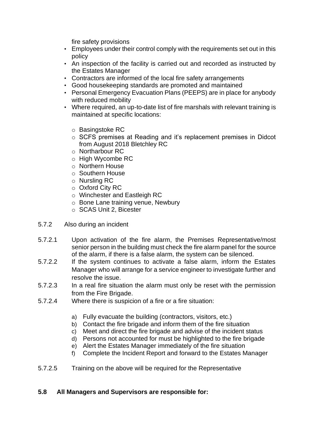fire safety provisions

- Employees under their control comply with the requirements set out in this policy
- An inspection of the facility is carried out and recorded as instructed by the Estates Manager
- Contractors are informed of the local fire safety arrangements
- Good housekeeping standards are promoted and maintained
- Personal Emergency Evacuation Plans (PEEPS) are in place for anybody with reduced mobility
- Where required, an up-to-date list of fire marshals with relevant training is maintained at specific locations:
	- o Basingstoke RC
	- o SCFS premises at Reading and it's replacement premises in Didcot from August 2018 Bletchley RC
	- o Northarbour RC
	- o High Wycombe RC
	- o Northern House
	- o Southern House
	- o Nursling RC
	- o Oxford City RC
	- o Winchester and Eastleigh RC
	- o Bone Lane training venue, Newbury
	- o SCAS Unit 2, Bicester
- 5.7.2 Also during an incident
- 5.7.2.1 Upon activation of the fire alarm, the Premises Representative/most senior person in the building must check the fire alarm panel for the source of the alarm, if there is a false alarm, the system can be silenced.
- 5.7.2.2 If the system continues to activate a false alarm, inform the Estates Manager who will arrange for a service engineer to investigate further and resolve the issue.
- 5.7.2.3 In a real fire situation the alarm must only be reset with the permission from the Fire Brigade.
- 5.7.2.4 Where there is suspicion of a fire or a fire situation:
	- a) Fully evacuate the building (contractors, visitors, etc.)
	- b) Contact the fire brigade and inform them of the fire situation
	- c) Meet and direct the fire brigade and advise of the incident status
	- d) Persons not accounted for must be highlighted to the fire brigade
	- e) Alert the Estates Manager immediately of the fire situation
	- f) Complete the Incident Report and forward to the Estates Manager
- 5.7.2.5 Training on the above will be required for the Representative

## **5.8 All Managers and Supervisors are responsible for:**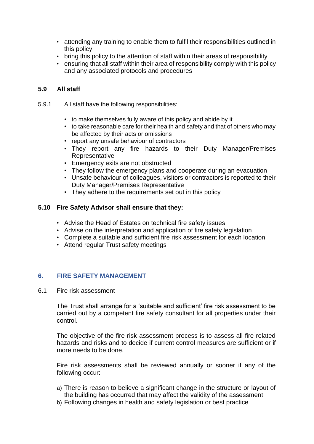- attending any training to enable them to fulfil their responsibilities outlined in this policy
- bring this policy to the attention of staff within their areas of responsibility
- ensuring that all staff within their area of responsibility comply with this policy and any associated protocols and procedures

## **5.9 All staff**

- 5.9.1 All staff have the following responsibilities:
	- to make themselves fully aware of this policy and abide by it
	- to take reasonable care for their health and safety and that of others who may be affected by their acts or omissions
	- report any unsafe behaviour of contractors
	- They report any fire hazards to their Duty Manager/Premises Representative
	- Emergency exits are not obstructed
	- They follow the emergency plans and cooperate during an evacuation
	- Unsafe behaviour of colleagues, visitors or contractors is reported to their Duty Manager/Premises Representative
	- They adhere to the requirements set out in this policy

#### **5.10 Fire Safety Advisor shall ensure that they:**

- Advise the Head of Estates on technical fire safety issues
- Advise on the interpretation and application of fire safety legislation
- Complete a suitable and sufficient fire risk assessment for each location
- Attend regular Trust safety meetings

#### <span id="page-6-0"></span>**6. FIRE SAFETY MANAGEMENT**

6.1 Fire risk assessment

The Trust shall arrange for a 'suitable and sufficient' fire risk assessment to be carried out by a competent fire safety consultant for all properties under their control.

The objective of the fire risk assessment process is to assess all fire related hazards and risks and to decide if current control measures are sufficient or if more needs to be done.

Fire risk assessments shall be reviewed annually or sooner if any of the following occur:

- a) There is reason to believe a significant change in the structure or layout of the building has occurred that may affect the validity of the assessment
- b) Following changes in health and safety legislation or best practice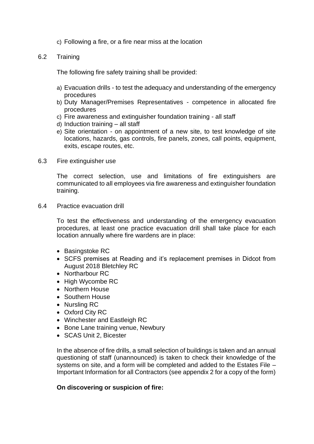- c) Following a fire, or a fire near miss at the location
- 6.2 Training

The following fire safety training shall be provided:

- a) Evacuation drills to test the adequacy and understanding of the emergency procedures
- b) Duty Manager/Premises Representatives competence in allocated fire procedures
- c) Fire awareness and extinguisher foundation training all staff
- d) Induction training all staff
- e) Site orientation on appointment of a new site, to test knowledge of site locations, hazards, gas controls, fire panels, zones, call points, equipment, exits, escape routes, etc.
- 6.3 Fire extinguisher use

The correct selection, use and limitations of fire extinguishers are communicated to all employees via fire awareness and extinguisher foundation training.

6.4 Practice evacuation drill

To test the effectiveness and understanding of the emergency evacuation procedures, at least one practice evacuation drill shall take place for each location annually where fire wardens are in place:

- Basingstoke RC
- SCFS premises at Reading and it's replacement premises in Didcot from August 2018 Bletchley RC
- Northarbour RC
- High Wycombe RC
- Northern House
- Southern House
- Nursling RC
- Oxford City RC
- Winchester and Eastleigh RC
- Bone Lane training venue, Newbury
- SCAS Unit 2, Bicester

In the absence of fire drills, a small selection of buildings is taken and an annual questioning of staff (unannounced) is taken to check their knowledge of the systems on site, and a form will be completed and added to the Estates File – Important Information for all Contractors (see appendix 2 for a copy of the form)

#### **On discovering or suspicion of fire:**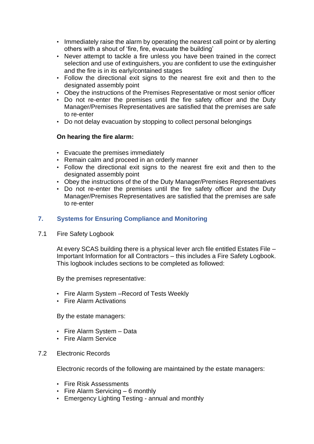- Immediately raise the alarm by operating the nearest call point or by alerting others with a shout of 'fire, fire, evacuate the building'
- Never attempt to tackle a fire unless you have been trained in the correct selection and use of extinguishers, you are confident to use the extinguisher and the fire is in its early/contained stages
- Follow the directional exit signs to the nearest fire exit and then to the designated assembly point
- Obey the instructions of the Premises Representative or most senior officer
- Do not re-enter the premises until the fire safety officer and the Duty Manager/Premises Representatives are satisfied that the premises are safe to re-enter
- Do not delay evacuation by stopping to collect personal belongings

## **On hearing the fire alarm:**

- Evacuate the premises immediately
- Remain calm and proceed in an orderly manner
- Follow the directional exit signs to the nearest fire exit and then to the designated assembly point
- Obey the instructions of the of the Duty Manager/Premises Representatives
- Do not re-enter the premises until the fire safety officer and the Duty Manager/Premises Representatives are satisfied that the premises are safe to re-enter

## <span id="page-8-0"></span>**7. Systems for Ensuring Compliance and Monitoring**

7.1 Fire Safety Logbook

At every SCAS building there is a physical lever arch file entitled Estates File – Important Information for all Contractors – this includes a Fire Safety Logbook. This logbook includes sections to be completed as followed:

By the premises representative:

- Fire Alarm System –Record of Tests Weekly
- Fire Alarm Activations

By the estate managers:

- Fire Alarm System Data
- Fire Alarm Service
- 7.2 Electronic Records

Electronic records of the following are maintained by the estate managers:

- Fire Risk Assessments
- Fire Alarm Servicing 6 monthly
- Emergency Lighting Testing annual and monthly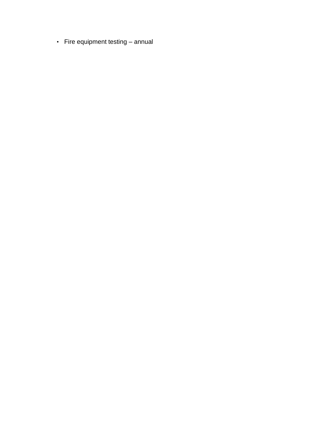• Fire equipment testing – annual